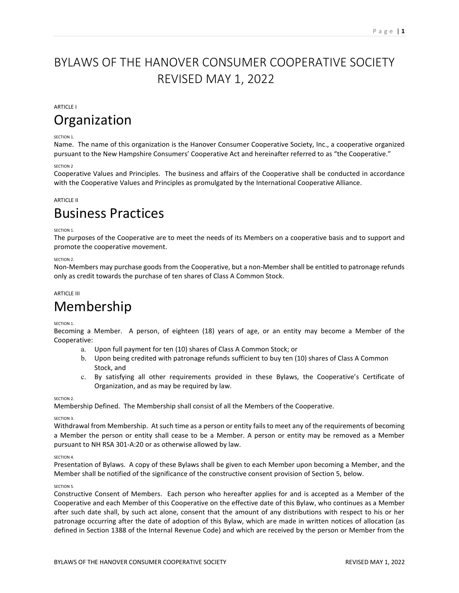## BYLAWS OF THE HANOVER CONSUMER COOPERATIVE SOCIETY REVISED MAY 1, 2022

## ARTICLE I

## **Organization**

## SECTION 1.

Name. The name of this organization is the Hanover Consumer Cooperative Society, Inc., a cooperative organized pursuant to the New Hampshire Consumers' Cooperative Act and hereinafter referred to as "the Cooperative."

## SECTION 2

Cooperative Values and Principles. The business and affairs of the Cooperative shall be conducted in accordance with the Cooperative Values and Principles as promulgated by the International Cooperative Alliance.

## **ARTICLE II**

## Business Practices

## SECTION 1.

The purposes of the Cooperative are to meet the needs of its Members on a cooperative basis and to support and promote the cooperative movement.

## SECTION<sub>2</sub>

Non-Members may purchase goods from the Cooperative, but a non-Member shall be entitled to patronage refunds only as credit towards the purchase of ten shares of Class A Common Stock.

## ARTICLE III

## Membership

## SECTION 1.

Becoming a Member. A person, of eighteen (18) years of age, or an entity may become a Member of the Cooperative:

- a. Upon full payment for ten (10) shares of Class A Common Stock; or
- b. Upon being credited with patronage refunds sufficient to buy ten (10) shares of Class A Common Stock, and
- c. By satisfying all other requirements provided in these Bylaws, the Cooperative's Certificate of Organization, and as may be required by law.

SECTION 2.

Membership Defined. The Membership shall consist of all the Members of the Cooperative.

## SECTION 3.

Withdrawal from Membership. At such time as a person or entity fails to meet any of the requirements of becoming a Member the person or entity shall cease to be a Member. A person or entity may be removed as a Member pursuant to NH RSA 301-A:20 or as otherwise allowed by law.

## SECTION 4.

Presentation of Bylaws. A copy of these Bylaws shall be given to each Member upon becoming a Member, and the Member shall be notified of the significance of the constructive consent provision of Section 5, below.

## SECTION 5.

Constructive Consent of Members. Each person who hereafter applies for and is accepted as a Member of the Cooperative and each Member of this Cooperative on the effective date of this Bylaw, who continues as a Member after such date shall, by such act alone, consent that the amount of any distributions with respect to his or her patronage occurring after the date of adoption of this Bylaw, which are made in written notices of allocation (as defined in Section 1388 of the Internal Revenue Code) and which are received by the person or Member from the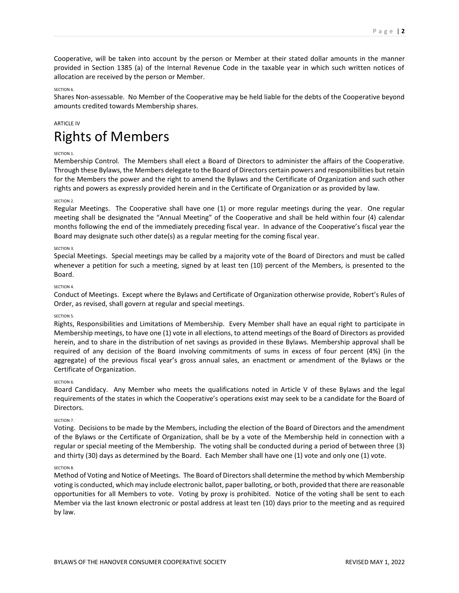Cooperative, will be taken into account by the person or Member at their stated dollar amounts in the manner provided in Section 1385 (a) of the Internal Revenue Code in the taxable year in which such written notices of allocation are received by the person or Member.

## SECTION 6

Shares Non-assessable. No Member of the Cooperative may be held liable for the debts of the Cooperative beyond amounts credited towards Membership shares.

## ARTICLE IV

## Rights of Members

## SECTION 1.

Membership Control. The Members shall elect a Board of Directors to administer the affairs of the Cooperative. Through these Bylaws, the Members delegate to the Board of Directors certain powers and responsibilities but retain for the Members the power and the right to amend the Bylaws and the Certificate of Organization and such other rights and powers as expressly provided herein and in the Certificate of Organization or as provided by law.

## SECTION<sub>2</sub>

Regular Meetings. The Cooperative shall have one (1) or more regular meetings during the year. One regular meeting shall be designated the "Annual Meeting" of the Cooperative and shall be held within four (4) calendar months following the end of the immediately preceding fiscal year. In advance of the Cooperative's fiscal year the Board may designate such other date(s) as a regular meeting for the coming fiscal year.

## SECTION 3.

Special Meetings. Special meetings may be called by a majority vote of the Board of Directors and must be called whenever a petition for such a meeting, signed by at least ten (10) percent of the Members, is presented to the Board.

## SECTION 4

Conduct of Meetings. Except where the Bylaws and Certificate of Organization otherwise provide, Robert's Rules of Order, as revised, shall govern at regular and special meetings.

## SECTION 5.

Rights, Responsibilities and Limitations of Membership. Every Member shall have an equal right to participate in Membership meetings, to have one (1) vote in all elections, to attend meetings of the Board of Directors as provided herein, and to share in the distribution of net savings as provided in these Bylaws. Membership approval shall be required of any decision of the Board involving commitments of sums in excess of four percent (4%) (in the aggregate) of the previous fiscal year's gross annual sales, an enactment or amendment of the Bylaws or the Certificate of Organization.

## SECTION<sub>6</sub>

Board Candidacy. Any Member who meets the qualifications noted in Article V of these Bylaws and the legal requirements of the states in which the Cooperative's operations exist may seek to be a candidate for the Board of Directors.

## SECTION 7.

Voting. Decisions to be made by the Members, including the election of the Board of Directors and the amendment of the Bylaws or the Certificate of Organization, shall be by a vote of the Membership held in connection with a regular or special meeting of the Membership. The voting shall be conducted during a period of between three (3) and thirty (30) days as determined by the Board. Each Member shall have one (1) vote and only one (1) vote.

## SECTION 8.

Method of Voting and Notice of Meetings. The Board of Directors shall determine the method by which Membership voting is conducted, which may include electronic ballot, paper balloting, or both, provided that there are reasonable opportunities for all Members to vote. Voting by proxy is prohibited. Notice of the voting shall be sent to each Member via the last known electronic or postal address at least ten (10) days prior to the meeting and as required by law.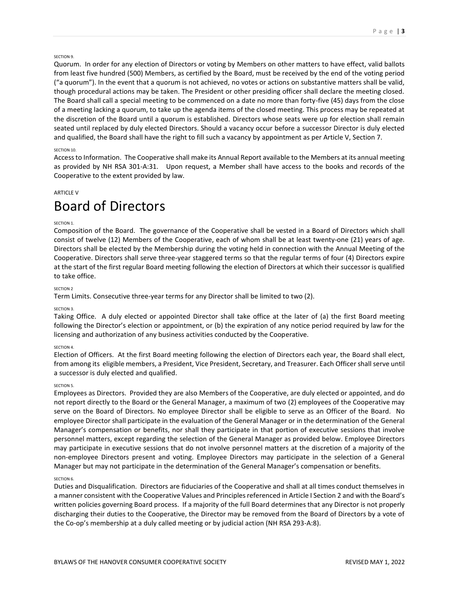## SECTION 9.

Quorum. In order for any election of Directors or voting by Members on other matters to have effect, valid ballots from least five hundred (500) Members, as certified by the Board, must be received by the end of the voting period ("a quorum"). In the event that a quorum is not achieved, no votes or actions on substantive matters shall be valid, though procedural actions may be taken. The President or other presiding officer shall declare the meeting closed. The Board shall call a special meeting to be commenced on a date no more than forty-five (45) days from the close of a meeting lacking a quorum, to take up the agenda items of the closed meeting. This process may be repeated at the discretion of the Board until a quorum is established. Directors whose seats were up for election shall remain seated until replaced by duly elected Directors. Should a vacancy occur before a successor Director is duly elected and qualified, the Board shall have the right to fill such a vacancy by appointment as per Article V, Section 7.

## SECTION 10.

Access to Information. The Cooperative shall make its Annual Report available to the Members at its annual meeting as provided by NH RSA 301-A:31. Upon request, a Member shall have access to the books and records of the Cooperative to the extent provided by law.

## **ARTICLE V**

## Board of Directors

## SECTION 1.

Composition of the Board. The governance of the Cooperative shall be vested in a Board of Directors which shall consist of twelve (12) Members of the Cooperative, each of whom shall be at least twenty-one (21) years of age. Directors shall be elected by the Membership during the voting held in connection with the Annual Meeting of the Cooperative. Directors shall serve three-year staggered terms so that the regular terms of four (4) Directors expire at the start of the first regular Board meeting following the election of Directors at which their successor is qualified to take office.

## SECTION 2

Term Limits. Consecutive three-year terms for any Director shall be limited to two (2).

## SECTION 3.

Taking Office. A duly elected or appointed Director shall take office at the later of (a) the first Board meeting following the Director's election or appointment, or (b) the expiration of any notice period required by law for the licensing and authorization of any business activities conducted by the Cooperative.

## SECTION 4

Election of Officers. At the first Board meeting following the election of Directors each year, the Board shall elect, from among its eligible members, a President, Vice President, Secretary, and Treasurer. Each Officer shall serve until a successor is duly elected and qualified.

## SECTION 5.

Employees as Directors. Provided they are also Members of the Cooperative, are duly elected or appointed, and do not report directly to the Board or the General Manager, a maximum of two (2) employees of the Cooperative may serve on the Board of Directors. No employee Director shall be eligible to serve as an Officer of the Board. No employee Director shall participate in the evaluation of the General Manager or in the determination of the General Manager's compensation or benefits, nor shall they participate in that portion of executive sessions that involve personnel matters, except regarding the selection of the General Manager as provided below. Employee Directors may participate in executive sessions that do not involve personnel matters at the discretion of a majority of the non-employee Directors present and voting. Employee Directors may participate in the selection of a General Manager but may not participate in the determination of the General Manager's compensation or benefits.

## SECTION 6.

Duties and Disqualification. Directors are fiduciaries of the Cooperative and shall at all times conduct themselves in a manner consistent with the Cooperative Values and Principles referenced in Article I Section 2 and with the Board's written policies governing Board process. If a majority of the full Board determines that any Director is not properly discharging their duties to the Cooperative, the Director may be removed from the Board of Directors by a vote of the Co-op's membership at a duly called meeting or by judicial action (NH RSA 293-A:8).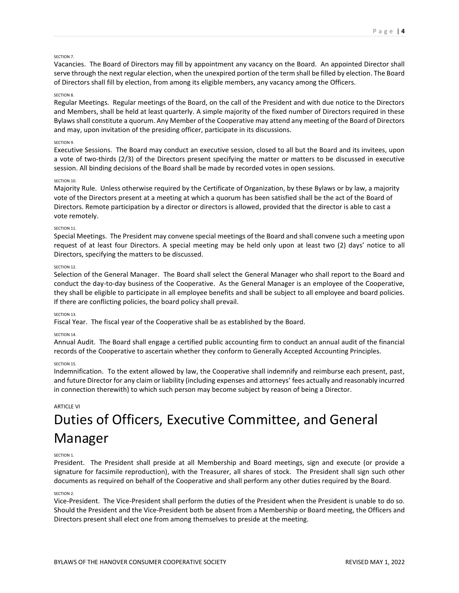#### SECTION<sub>7</sub>

Vacancies. The Board of Directors may fill by appointment any vacancy on the Board. An appointed Director shall serve through the next regular election, when the unexpired portion of the term shall be filled by election. The Board of Directors shall fill by election, from among its eligible members, any vacancy among the Officers.

#### SECTION 8.

Regular Meetings. Regular meetings of the Board, on the call of the President and with due notice to the Directors and Members, shall be held at least quarterly. A simple majority of the fixed number of Directors required in these Bylaws shall constitute a quorum. Any Member of the Cooperative may attend any meeting of the Board of Directors and may, upon invitation of the presiding officer, participate in its discussions.

#### SECTION 9.

Executive Sessions. The Board may conduct an executive session, closed to all but the Board and its invitees, upon a vote of two-thirds (2/3) of the Directors present specifying the matter or matters to be discussed in executive session. All binding decisions of the Board shall be made by recorded votes in open sessions.

## SECTION 10

Majority Rule. Unless otherwise required by the Certificate of Organization, by these Bylaws or by law, a majority vote of the Directors present at a meeting at which a quorum has been satisfied shall be the act of the Board of Directors. Remote participation by a director or directors is allowed, provided that the director is able to cast a vote remotely.

#### SECTION 11.

Special Meetings. The President may convene special meetings of the Board and shall convene such a meeting upon request of at least four Directors. A special meeting may be held only upon at least two (2) days' notice to all Directors, specifying the matters to be discussed.

#### SECTION 12.

Selection of the General Manager. The Board shall select the General Manager who shall report to the Board and conduct the day-to-day business of the Cooperative. As the General Manager is an employee of the Cooperative, they shall be eligible to participate in all employee benefits and shall be subject to all employee and board policies. If there are conflicting policies, the board policy shall prevail.

#### SECTION 13.

Fiscal Year. The fiscal year of the Cooperative shall be as established by the Board.

#### SECTION 14.

Annual Audit. The Board shall engage a certified public accounting firm to conduct an annual audit of the financial records of the Cooperative to ascertain whether they conform to Generally Accepted Accounting Principles.

#### SECTION 15.

Indemnification. To the extent allowed by law, the Cooperative shall indemnify and reimburse each present, past, and future Director for any claim or liability (including expenses and attorneys' fees actually and reasonably incurred in connection therewith) to which such person may become subject by reason of being a Director.

## ARTICLE VI

# Duties of Officers, Executive Committee, and General Manager

#### SECTION 1.

President. The President shall preside at all Membership and Board meetings, sign and execute (or provide a signature for facsimile reproduction), with the Treasurer, all shares of stock. The President shall sign such other documents as required on behalf of the Cooperative and shall perform any other duties required by the Board.

## SECTION 2.

Vice-President. The Vice-President shall perform the duties of the President when the President is unable to do so. Should the President and the Vice-President both be absent from a Membership or Board meeting, the Officers and Directors present shall elect one from among themselves to preside at the meeting.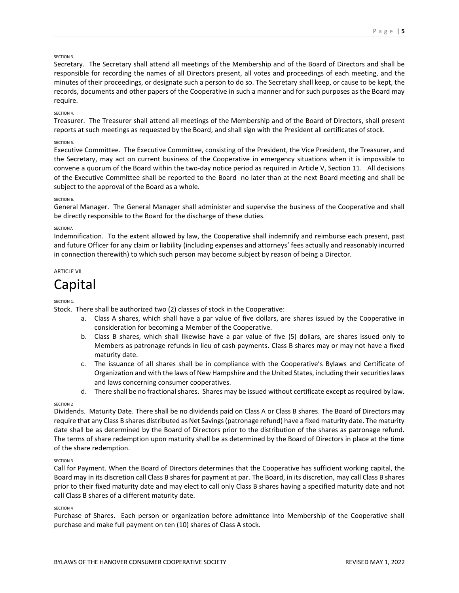## SECTION 3.

Secretary. The Secretary shall attend all meetings of the Membership and of the Board of Directors and shall be responsible for recording the names of all Directors present, all votes and proceedings of each meeting, and the minutes of their proceedings, or designate such a person to do so. The Secretary shall keep, or cause to be kept, the records, documents and other papers of the Cooperative in such a manner and for such purposes as the Board may require.

## SECTION 4.

Treasurer. The Treasurer shall attend all meetings of the Membership and of the Board of Directors, shall present reports at such meetings as requested by the Board, and shall sign with the President all certificates of stock.

## SECTION 5.

Executive Committee. The Executive Committee, consisting of the President, the Vice President, the Treasurer, and the Secretary, may act on current business of the Cooperative in emergency situations when it is impossible to convene a quorum of the Board within the two-day notice period as required in Article V, Section 11. All decisions of the Executive Committee shall be reported to the Board no later than at the next Board meeting and shall be subject to the approval of the Board as a whole.

## SECTION 6.

General Manager. The General Manager shall administer and supervise the business of the Cooperative and shall be directly responsible to the Board for the discharge of these duties.

## SECTION7.

Indemnification. To the extent allowed by law, the Cooperative shall indemnify and reimburse each present, past and future Officer for any claim or liability (including expenses and attorneys' fees actually and reasonably incurred in connection therewith) to which such person may become subject by reason of being a Director.

## ARTICLE VII

## Capital

## SECTION 1.

Stock. There shall be authorized two (2) classes of stock in the Cooperative:

- a. Class A shares, which shall have a par value of five dollars, are shares issued by the Cooperative in consideration for becoming a Member of the Cooperative.
- b. Class B shares, which shall likewise have a par value of five (5) dollars, are shares issued only to Members as patronage refunds in lieu of cash payments. Class B shares may or may not have a fixed maturity date.
- c. The issuance of all shares shall be in compliance with the Cooperative's Bylaws and Certificate of Organization and with the laws of New Hampshire and the United States, including their securities laws and laws concerning consumer cooperatives.
- d. There shall be no fractional shares. Shares may be issued without certificate except as required by law.

## SECTION<sub>2</sub>

Dividends. Maturity Date. There shall be no dividends paid on Class A or Class B shares. The Board of Directors may require that any Class B shares distributed as Net Savings (patronage refund) have a fixed maturity date. The maturity date shall be as determined by the Board of Directors prior to the distribution of the shares as patronage refund. The terms of share redemption upon maturity shall be as determined by the Board of Directors in place at the time of the share redemption.

## SECTION 3

Call for Payment. When the Board of Directors determines that the Cooperative has sufficient working capital, the Board may in its discretion call Class B shares for payment at par. The Board, in its discretion, may call Class B shares prior to their fixed maturity date and may elect to call only Class B shares having a specified maturity date and not call Class B shares of a different maturity date.

## SECTION 4

Purchase of Shares. Each person or organization before admittance into Membership of the Cooperative shall purchase and make full payment on ten (10) shares of Class A stock.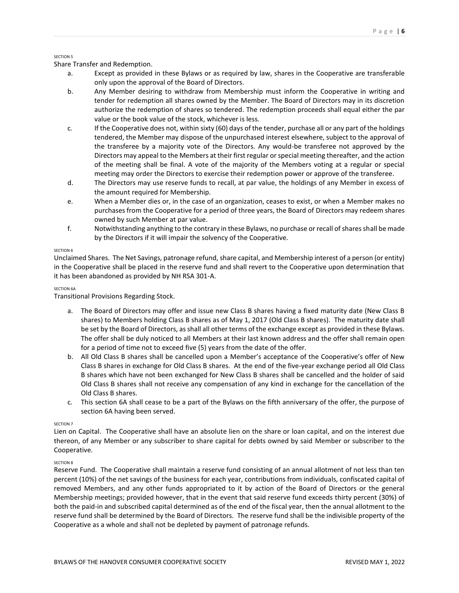## SECTION<sub>5</sub>

Share Transfer and Redemption.

- a. Except as provided in these Bylaws or as required by law, shares in the Cooperative are transferable only upon the approval of the Board of Directors.
- b. Any Member desiring to withdraw from Membership must inform the Cooperative in writing and tender for redemption all shares owned by the Member. The Board of Directors may in its discretion authorize the redemption of shares so tendered. The redemption proceeds shall equal either the par value or the book value of the stock, whichever is less.
- c. If the Cooperative does not, within sixty (60) days of the tender, purchase all or any part of the holdings tendered, the Member may dispose of the unpurchased interest elsewhere, subject to the approval of the transferee by a majority vote of the Directors. Any would-be transferee not approved by the Directors may appeal to the Members at their first regular or special meeting thereafter, and the action of the meeting shall be final. A vote of the majority of the Members voting at a regular or special meeting may order the Directors to exercise their redemption power or approve of the transferee.
- d. The Directors may use reserve funds to recall, at par value, the holdings of any Member in excess of the amount required for Membership.
- e. When a Member dies or, in the case of an organization, ceases to exist, or when a Member makes no purchases from the Cooperative for a period of three years, the Board of Directors may redeem shares owned by such Member at par value.
- f. Notwithstanding anything to the contrary in these Bylaws, no purchase or recall of shares shall be made by the Directors if it will impair the solvency of the Cooperative.

## SECTION<sub>6</sub>

Unclaimed Shares. The Net Savings, patronage refund, share capital, and Membership interest of a person (or entity) in the Cooperative shall be placed in the reserve fund and shall revert to the Cooperative upon determination that it has been abandoned as provided by NH RSA 301-A.

## SECTION 6A

Transitional Provisions Regarding Stock.

- a. The Board of Directors may offer and issue new Class B shares having a fixed maturity date (New Class B shares) to Members holding Class B shares as of May 1, 2017 (Old Class B shares). The maturity date shall be set by the Board of Directors, as shall all other terms of the exchange except as provided in these Bylaws. The offer shall be duly noticed to all Members at their last known address and the offer shall remain open for a period of time not to exceed five (5) years from the date of the offer.
- b. All Old Class B shares shall be cancelled upon a Member's acceptance of the Cooperative's offer of New Class B shares in exchange for Old Class B shares. At the end of the five-year exchange period all Old Class B shares which have not been exchanged for New Class B shares shall be cancelled and the holder of said Old Class B shares shall not receive any compensation of any kind in exchange for the cancellation of the Old Class B shares.
- c. This section 6A shall cease to be a part of the Bylaws on the fifth anniversary of the offer, the purpose of section 6A having been served.

## SECTION<sub>7</sub>

Lien on Capital. The Cooperative shall have an absolute lien on the share or loan capital, and on the interest due thereon, of any Member or any subscriber to share capital for debts owned by said Member or subscriber to the Cooperative.

## SECTION 8

Reserve Fund. The Cooperative shall maintain a reserve fund consisting of an annual allotment of not less than ten percent (10%) of the net savings of the business for each year, contributions from individuals, confiscated capital of removed Members, and any other funds appropriated to it by action of the Board of Directors or the general Membership meetings; provided however, that in the event that said reserve fund exceeds thirty percent (30%) of both the paid-in and subscribed capital determined as of the end of the fiscal year, then the annual allotment to the reserve fund shall be determined by the Board of Directors. The reserve fund shall be the indivisible property of the Cooperative as a whole and shall not be depleted by payment of patronage refunds.